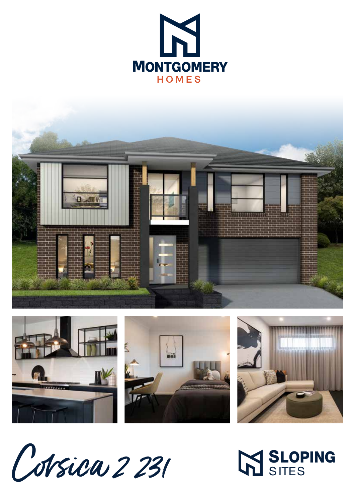









Cobrica 2231

M SLOPING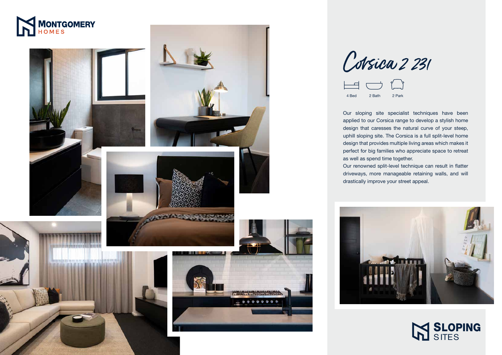## SLOPING **SITES**



Our sloping site specialist techniques have been applied to our Corsica range to develop a stylish home design that caresses the natural curve of your steep, uphill sloping site. The Corsica is a full split-level home design that provides multiple living areas which makes it perfect for big families who appreciate space to retreat







as well as spend time together.



Corsica 2 231

Our renowned split-level technique can result in flatter driveways, more manageable retaining walls, and will drastically improve your street appeal.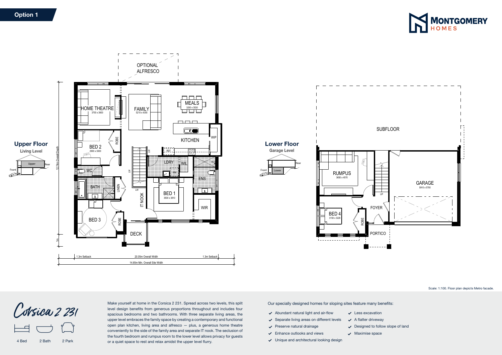

Our specially designed homes for sloping sites feature many benefits:

- $\blacktriangleright$  Abundant natural light and air-flow
- $\checkmark$  Separate living areas on different levels
- $\vee$  Preserve natural drainage
- $\checkmark$  Enhance outlooks and views
- Unique and architectural looking design
- 
- $\checkmark$  Less excavation  $\swarrow$  A flatter driveway
	-
- $\vee$  Designed to follow slope of land



Scale: 1:100. Floor plan depicts Metro facade.

- 
- 
- $\sqrt{\phantom{a}}$  Maximise space

Make yourself at home in the Corsica 2 231. Spread across two levels, this split level design benefits from generous proportions throughout and includes four spacious bedrooms and two bathrooms. With three separate living areas, the upper level embraces the family space by creating a contemporary and functional open plan kitchen, living area and alfresco — plus, a generous home theatre conveniently to the side of the family area and separate IT nook. The seclusion of the fourth bedroom and rumpus room to the lower level allows privacy for guests or a quiet space to rest and relax amidst the upper level flurry.

### Option 1

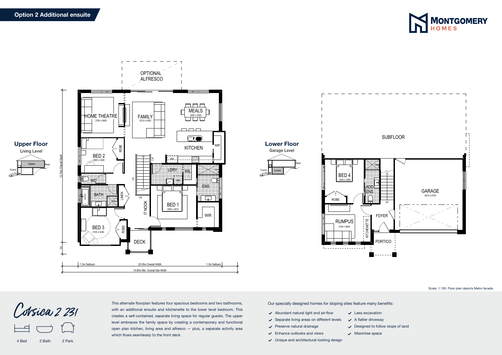Our specially designed homes for sloping sites feature many benefits:

- $\blacktriangleright$  Abundant natural light and air-flow
- $\checkmark$  Separate living areas on different levels
- $\vee$  Preserve natural drainage
- $\checkmark$  Enhance outlooks and views
- Unique and architectural looking design
- $\sqrt{\phantom{a}}$  Maximise space

Scale: 1:100. Floor plan depicts Metro facade.

- $\checkmark$  Less excavation
- $\swarrow$  A flatter driveway
- $\vee$  Designed to follow slope of land
	-



4 Bed 2 Bath 2 Park



This alternate floorplan features four spacious bedrooms and two bathrooms, with an additional ensuite and kitchenette to the lower level bedroom. This creates a self-contained, separate living space for regular guests. The upper level embraces the family space by creating a contemporary and functional open plan kitchen, living area and alfresco — plus, a separate activity area which flows seamlessly to the front deck.